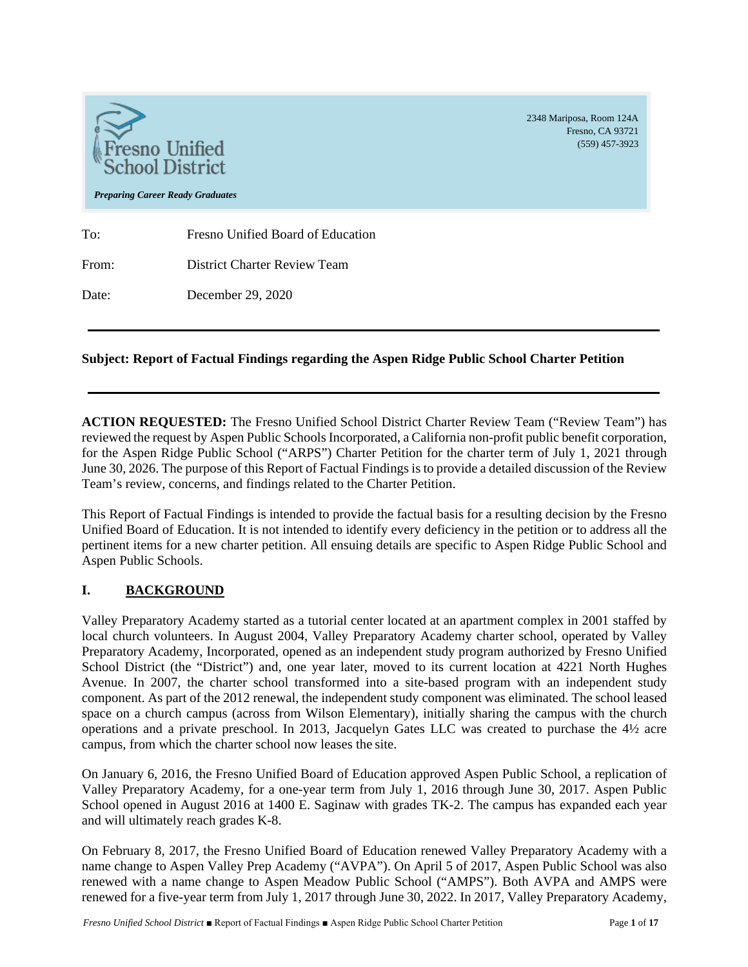

# **Subject: Report of Factual Findings regarding the Aspen Ridge Public School Charter Petition**

**ACTION REQUESTED:** The Fresno Unified School District Charter Review Team ("Review Team") has reviewed the request by Aspen Public Schools Incorporated, a California non-profit public benefit corporation, for the Aspen Ridge Public School ("ARPS") Charter Petition for the charter term of July 1, 2021 through June 30, 2026. The purpose of this Report of Factual Findings is to provide a detailed discussion of the Review Team's review, concerns, and findings related to the Charter Petition.

This Report of Factual Findings is intended to provide the factual basis for a resulting decision by the Fresno Unified Board of Education. It is not intended to identify every deficiency in the petition or to address all the pertinent items for a new charter petition. All ensuing details are specific to Aspen Ridge Public School and Aspen Public Schools.

# **I. BACKGROUND**

Valley Preparatory Academy started as a tutorial center located at an apartment complex in 2001 staffed by local church volunteers. In August 2004, Valley Preparatory Academy charter school, operated by Valley Preparatory Academy, Incorporated, opened as an independent study program authorized by Fresno Unified School District (the "District") and, one year later, moved to its current location at 4221 North Hughes Avenue. In 2007, the charter school transformed into a site-based program with an independent study component. As part of the 2012 renewal, the independent study component was eliminated. The school leased space on a church campus (across from Wilson Elementary), initially sharing the campus with the church operations and a private preschool. In 2013, Jacquelyn Gates LLC was created to purchase the 4½ acre campus, from which the charter school now leases the site.

On January 6, 2016, the Fresno Unified Board of Education approved Aspen Public School, a replication of Valley Preparatory Academy, for a one-year term from July 1, 2016 through June 30, 2017. Aspen Public School opened in August 2016 at 1400 E. Saginaw with grades TK-2. The campus has expanded each year and will ultimately reach grades K-8.

On February 8, 2017, the Fresno Unified Board of Education renewed Valley Preparatory Academy with a name change to Aspen Valley Prep Academy ("AVPA"). On April 5 of 2017, Aspen Public School was also renewed with a name change to Aspen Meadow Public School ("AMPS"). Both AVPA and AMPS were renewed for a five-year term from July 1, 2017 through June 30, 2022. In 2017, Valley Preparatory Academy,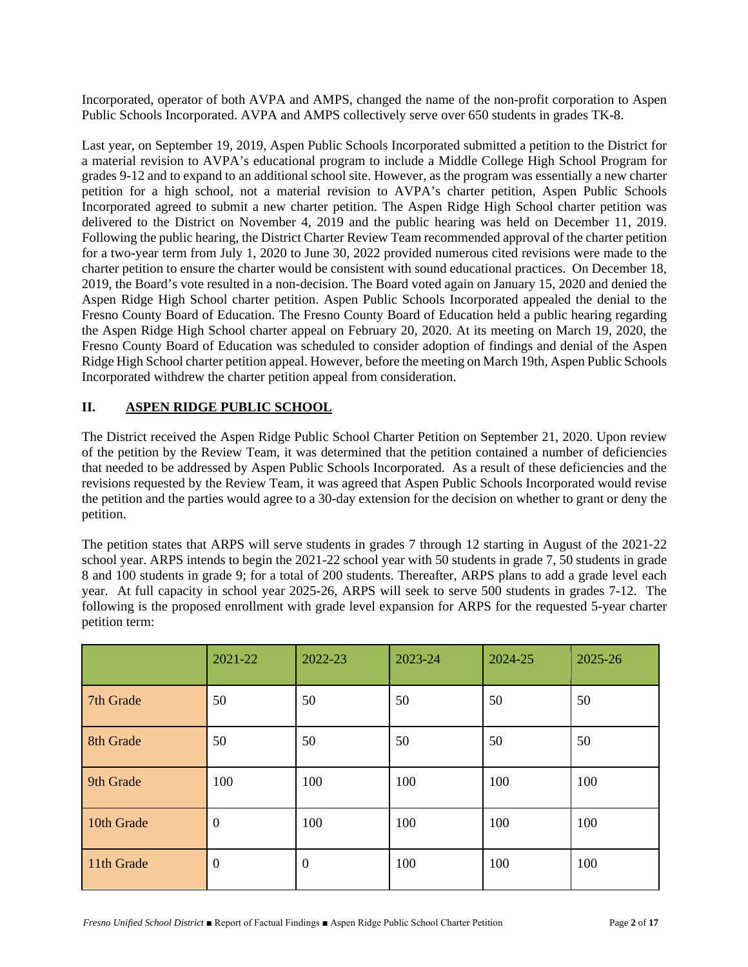Incorporated, operator of both AVPA and AMPS, changed the name of the non-profit corporation to Aspen Public Schools Incorporated. AVPA and AMPS collectively serve over 650 students in grades TK-8.

Last year, on September 19, 2019, Aspen Public Schools Incorporated submitted a petition to the District for a material revision to AVPA's educational program to include a Middle College High School Program for grades 9-12 and to expand to an additional school site. However, as the program was essentially a new charter petition for a high school, not a material revision to AVPA's charter petition, Aspen Public Schools Incorporated agreed to submit a new charter petition. The Aspen Ridge High School charter petition was delivered to the District on November 4, 2019 and the public hearing was held on December 11, 2019. Following the public hearing, the District Charter Review Team recommended approval of the charter petition for a two-year term from July 1, 2020 to June 30, 2022 provided numerous cited revisions were made to the charter petition to ensure the charter would be consistent with sound educational practices. On December 18, 2019, the Board's vote resulted in a non-decision. The Board voted again on January 15, 2020 and denied the Aspen Ridge High School charter petition. Aspen Public Schools Incorporated appealed the denial to the Fresno County Board of Education. The Fresno County Board of Education held a public hearing regarding the Aspen Ridge High School charter appeal on February 20, 2020. At its meeting on March 19, 2020, the Fresno County Board of Education was scheduled to consider adoption of findings and denial of the Aspen Ridge High School charter petition appeal. However, before the meeting on March 19th, Aspen Public Schools Incorporated withdrew the charter petition appeal from consideration.

## **II. ASPEN RIDGE PUBLIC SCHOOL**

The District received the Aspen Ridge Public School Charter Petition on September 21, 2020. Upon review of the petition by the Review Team, it was determined that the petition contained a number of deficiencies that needed to be addressed by Aspen Public Schools Incorporated. As a result of these deficiencies and the revisions requested by the Review Team, it was agreed that Aspen Public Schools Incorporated would revise the petition and the parties would agree to a 30-day extension for the decision on whether to grant or deny the petition.

The petition states that ARPS will serve students in grades 7 through 12 starting in August of the 2021‐22 school year. ARPS intends to begin the 2021-22 school year with 50 students in grade 7, 50 students in grade 8 and 100 students in grade 9; for a total of 200 students. Thereafter, ARPS plans to add a grade level each year. At full capacity in school year 2025-26, ARPS will seek to serve 500 students in grades 7-12. The following is the proposed enrollment with grade level expansion for ARPS for the requested 5-year charter petition term:

|            | 2021-22          | 2022-23        | 2023-24 | 2024-25 | 2025-26 |
|------------|------------------|----------------|---------|---------|---------|
| 7th Grade  | 50               | 50             | 50      | 50      | 50      |
| 8th Grade  | 50               | 50             | 50      | 50      | 50      |
| 9th Grade  | 100              | 100            | 100     | 100     | 100     |
| 10th Grade | $\mathbf{0}$     | 100            | 100     | 100     | 100     |
| 11th Grade | $\boldsymbol{0}$ | $\overline{0}$ | 100     | 100     | 100     |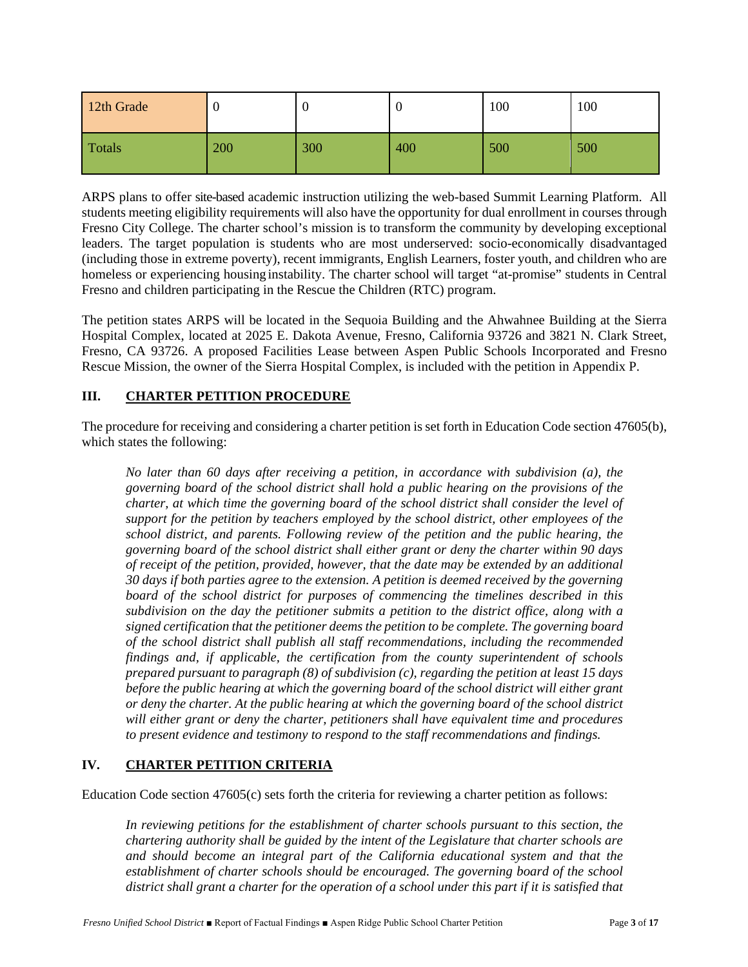| 12th Grade |     |     |     | 100 | 100 |
|------------|-----|-----|-----|-----|-----|
| Totals     | 200 | 300 | 400 | 500 | 500 |

ARPS plans to offer site-based academic instruction utilizing the web-based Summit Learning Platform. All students meeting eligibility requirements will also have the opportunity for dual enrollment in courses through Fresno City College. The charter school's mission is to transform the community by developing exceptional leaders. The target population is students who are most underserved: socio-economically disadvantaged (including those in extreme poverty), recent immigrants, English Learners, foster youth, and children who are homeless or experiencing housing instability. The charter school will target "at-promise" students in Central Fresno and children participating in the Rescue the Children (RTC) program.

The petition states ARPS will be located in the Sequoia Building and the Ahwahnee Building at the Sierra Hospital Complex, located at 2025 E. Dakota Avenue, Fresno, California 93726 and 3821 N. Clark Street, Fresno, CA 93726. A proposed Facilities Lease between Aspen Public Schools Incorporated and Fresno Rescue Mission, the owner of the Sierra Hospital Complex, is included with the petition in Appendix P.

# **III. CHARTER PETITION PROCEDURE**

The procedure for receiving and considering a charter petition is set forth in Education Code section 47605(b), which states the following:

*No later than 60 days after receiving a petition, in accordance with subdivision (a), the governing board of the school district shall hold a public hearing on the provisions of the charter, at which time the governing board of the school district shall consider the level of support for the petition by teachers employed by the school district, other employees of the school district, and parents. Following review of the petition and the public hearing, the governing board of the school district shall either grant or deny the charter within 90 days of receipt of the petition, provided, however, that the date may be extended by an additional 30 days if both parties agree to the extension. A petition is deemed received by the governing board of the school district for purposes of commencing the timelines described in this subdivision on the day the petitioner submits a petition to the district office, along with a signed certification that the petitioner deems the petition to be complete. The governing board of the school district shall publish all staff recommendations, including the recommended findings and, if applicable, the certification from the county superintendent of schools prepared pursuant to paragraph (8) of subdivision (c), regarding the petition at least 15 days before the public hearing at which the governing board of the school district will either grant or deny the charter. At the public hearing at which the governing board of the school district will either grant or deny the charter, petitioners shall have equivalent time and procedures to present evidence and testimony to respond to the staff recommendations and findings.*

### **IV. CHARTER PETITION CRITERIA**

Education Code section 47605(c) sets forth the criteria for reviewing a charter petition as follows:

*In reviewing petitions for the establishment of charter schools pursuant to this section, the chartering authority shall be guided by the intent of the Legislature that charter schools are and should become an integral part of the California educational system and that the establishment of charter schools should be encouraged. The governing board of the school district shall grant a charter for the operation of a school under this part if it is satisfied that*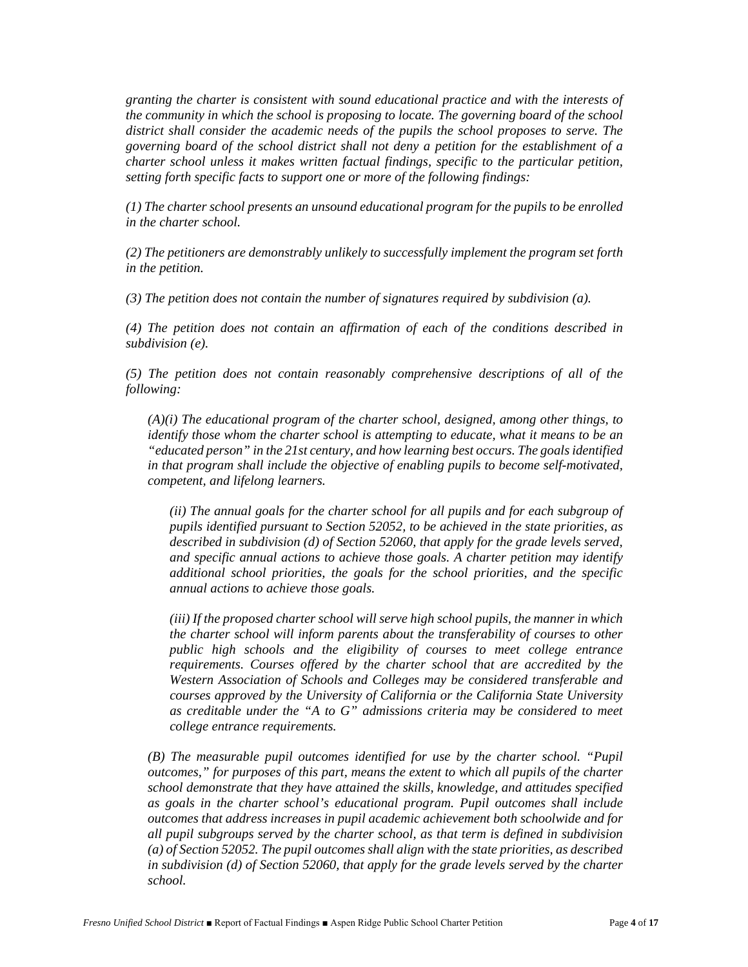*granting the charter is consistent with sound educational practice and with the interests of the community in which the school is proposing to locate. The governing board of the school district shall consider the academic needs of the pupils the school proposes to serve. The governing board of the school district shall not deny a petition for the establishment of a charter school unless it makes written factual findings, specific to the particular petition, setting forth specific facts to support one or more of the following findings:*

*(1) The charter school presents an unsound educational program for the pupils to be enrolled in the charter school.*

*(2) The petitioners are demonstrably unlikely to successfully implement the program set forth in the petition.*

*(3) The petition does not contain the number of signatures required by subdivision (a).*

*(4) The petition does not contain an affirmation of each of the conditions described in subdivision (e).*

*(5) The petition does not contain reasonably comprehensive descriptions of all of the following:*

*(A)(i) The educational program of the charter school, designed, among other things, to identify those whom the charter school is attempting to educate, what it means to be an "educated person" in the 21st century, and how learning best occurs. The goals identified in that program shall include the objective of enabling pupils to become self-motivated, competent, and lifelong learners.*

*(ii) The annual goals for the charter school for all pupils and for each subgroup of pupils identified pursuant to Section 52052, to be achieved in the state priorities, as described in subdivision (d) of Section 52060, that apply for the grade levels served, and specific annual actions to achieve those goals. A charter petition may identify additional school priorities, the goals for the school priorities, and the specific annual actions to achieve those goals.*

*(iii) If the proposed charter school will serve high school pupils, the manner in which the charter school will inform parents about the transferability of courses to other public high schools and the eligibility of courses to meet college entrance requirements. Courses offered by the charter school that are accredited by the Western Association of Schools and Colleges may be considered transferable and courses approved by the University of California or the California State University as creditable under the "A to G" admissions criteria may be considered to meet college entrance requirements.*

*(B) The measurable pupil outcomes identified for use by the charter school. "Pupil outcomes," for purposes of this part, means the extent to which all pupils of the charter school demonstrate that they have attained the skills, knowledge, and attitudes specified as goals in the charter school's educational program. Pupil outcomes shall include outcomes that address increases in pupil academic achievement both schoolwide and for all pupil subgroups served by the charter school, as that term is defined in subdivision (a) of Section 52052. The pupil outcomes shall align with the state priorities, as described in subdivision (d) of Section 52060, that apply for the grade levels served by the charter school.*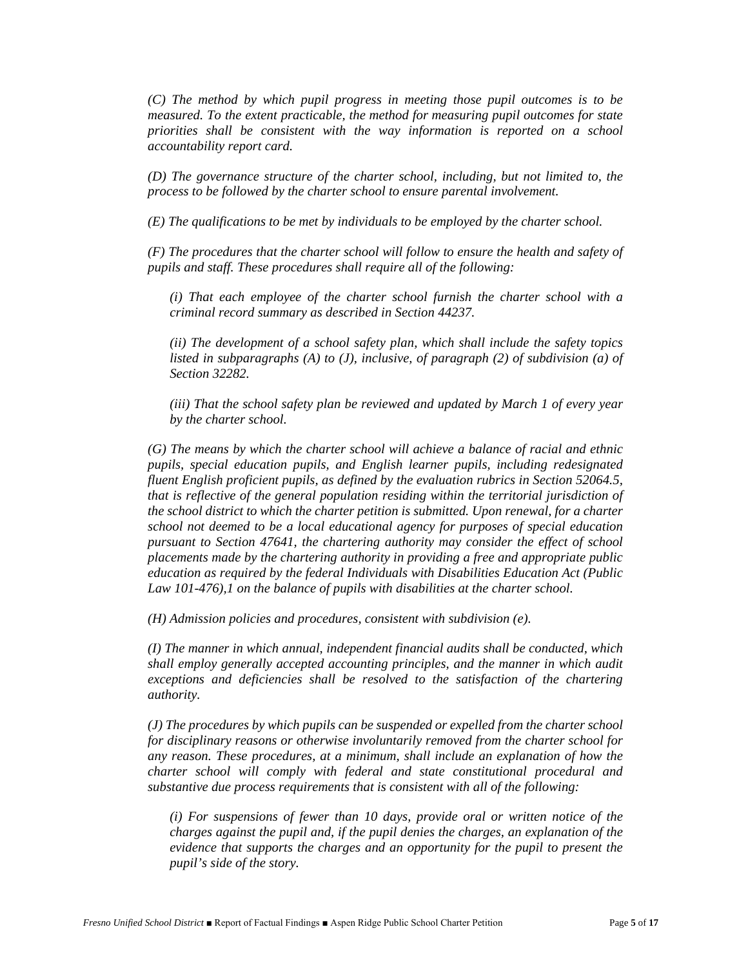*(C) The method by which pupil progress in meeting those pupil outcomes is to be measured. To the extent practicable, the method for measuring pupil outcomes for state priorities shall be consistent with the way information is reported on a school accountability report card.*

*(D) The governance structure of the charter school, including, but not limited to, the process to be followed by the charter school to ensure parental involvement.*

*(E) The qualifications to be met by individuals to be employed by the charter school.*

*(F) The procedures that the charter school will follow to ensure the health and safety of pupils and staff. These procedures shall require all of the following:*

*(i) That each employee of the charter school furnish the charter school with a criminal record summary as described in Section 44237.*

*(ii) The development of a school safety plan, which shall include the safety topics listed in subparagraphs (A) to (J), inclusive, of paragraph (2) of subdivision (a) of Section 32282.*

*(iii) That the school safety plan be reviewed and updated by March 1 of every year by the charter school.*

*(G) The means by which the charter school will achieve a balance of racial and ethnic pupils, special education pupils, and English learner pupils, including redesignated fluent English proficient pupils, as defined by the evaluation rubrics in Section 52064.5, that is reflective of the general population residing within the territorial jurisdiction of the school district to which the charter petition is submitted. Upon renewal, for a charter school not deemed to be a local educational agency for purposes of special education pursuant to Section 47641, the chartering authority may consider the effect of school placements made by the chartering authority in providing a free and appropriate public education as required by the federal Individuals with Disabilities Education Act (Public Law 101-476),1 on the balance of pupils with disabilities at the charter school.*

*(H) Admission policies and procedures, consistent with subdivision (e).*

*(I) The manner in which annual, independent financial audits shall be conducted, which shall employ generally accepted accounting principles, and the manner in which audit exceptions and deficiencies shall be resolved to the satisfaction of the chartering authority.*

*(J) The procedures by which pupils can be suspended or expelled from the charter school for disciplinary reasons or otherwise involuntarily removed from the charter school for any reason. These procedures, at a minimum, shall include an explanation of how the charter school will comply with federal and state constitutional procedural and substantive due process requirements that is consistent with all of the following:*

*(i) For suspensions of fewer than 10 days, provide oral or written notice of the charges against the pupil and, if the pupil denies the charges, an explanation of the evidence that supports the charges and an opportunity for the pupil to present the pupil's side of the story.*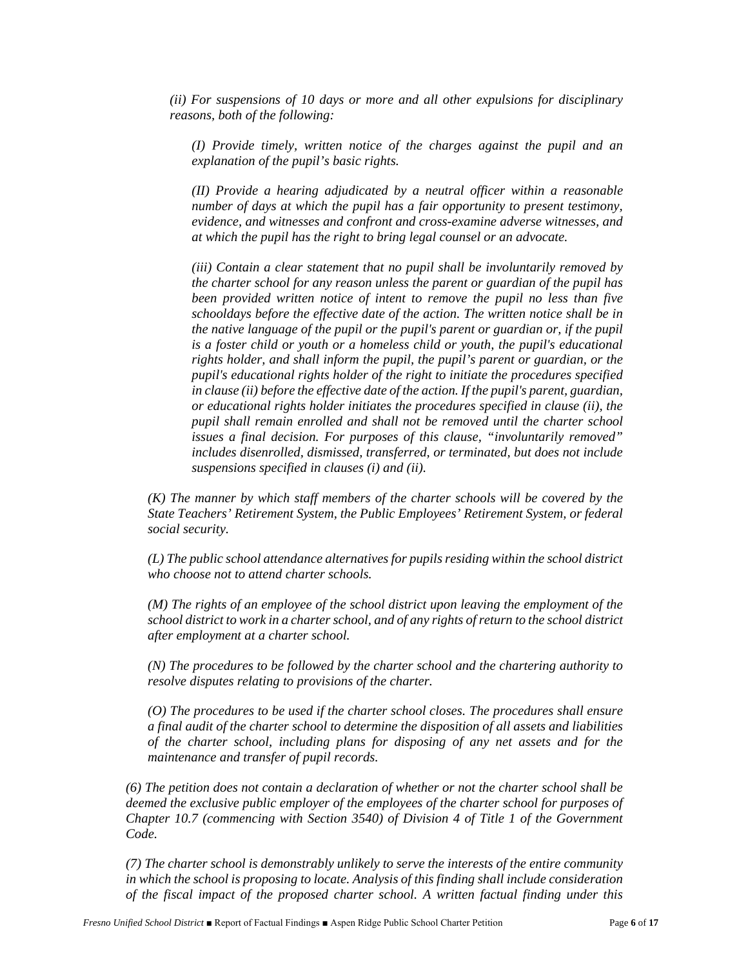*(ii) For suspensions of 10 days or more and all other expulsions for disciplinary reasons, both of the following:*

*(I) Provide timely, written notice of the charges against the pupil and an explanation of the pupil's basic rights.*

*(II) Provide a hearing adjudicated by a neutral officer within a reasonable number of days at which the pupil has a fair opportunity to present testimony, evidence, and witnesses and confront and cross-examine adverse witnesses, and at which the pupil has the right to bring legal counsel or an advocate.*

*(iii) Contain a clear statement that no pupil shall be involuntarily removed by the charter school for any reason unless the parent or guardian of the pupil has been provided written notice of intent to remove the pupil no less than five schooldays before the effective date of the action. The written notice shall be in the native language of the pupil or the pupil's parent or guardian or, if the pupil is a foster child or youth or a homeless child or youth, the pupil's educational rights holder, and shall inform the pupil, the pupil's parent or guardian, or the pupil's educational rights holder of the right to initiate the procedures specified in clause (ii) before the effective date of the action. If the pupil's parent, guardian, or educational rights holder initiates the procedures specified in clause (ii), the pupil shall remain enrolled and shall not be removed until the charter school issues a final decision. For purposes of this clause, "involuntarily removed" includes disenrolled, dismissed, transferred, or terminated, but does not include suspensions specified in clauses (i) and (ii).*

*(K) The manner by which staff members of the charter schools will be covered by the State Teachers' Retirement System, the Public Employees' Retirement System, or federal social security.*

*(L) The public school attendance alternatives for pupils residing within the school district who choose not to attend charter schools.*

*(M) The rights of an employee of the school district upon leaving the employment of the school district to work in a charter school, and of any rights of return to the school district after employment at a charter school.*

*(N) The procedures to be followed by the charter school and the chartering authority to resolve disputes relating to provisions of the charter.*

*(O) The procedures to be used if the charter school closes. The procedures shall ensure a final audit of the charter school to determine the disposition of all assets and liabilities of the charter school, including plans for disposing of any net assets and for the maintenance and transfer of pupil records.*

*(6) The petition does not contain a declaration of whether or not the charter school shall be deemed the exclusive public employer of the employees of the charter school for purposes of Chapter 10.7 (commencing with Section 3540) of Division 4 of Title 1 of the Government Code.*

*(7) The charter school is demonstrably unlikely to serve the interests of the entire community in which the school is proposing to locate. Analysis of this finding shall include consideration of the fiscal impact of the proposed charter school. A written factual finding under this*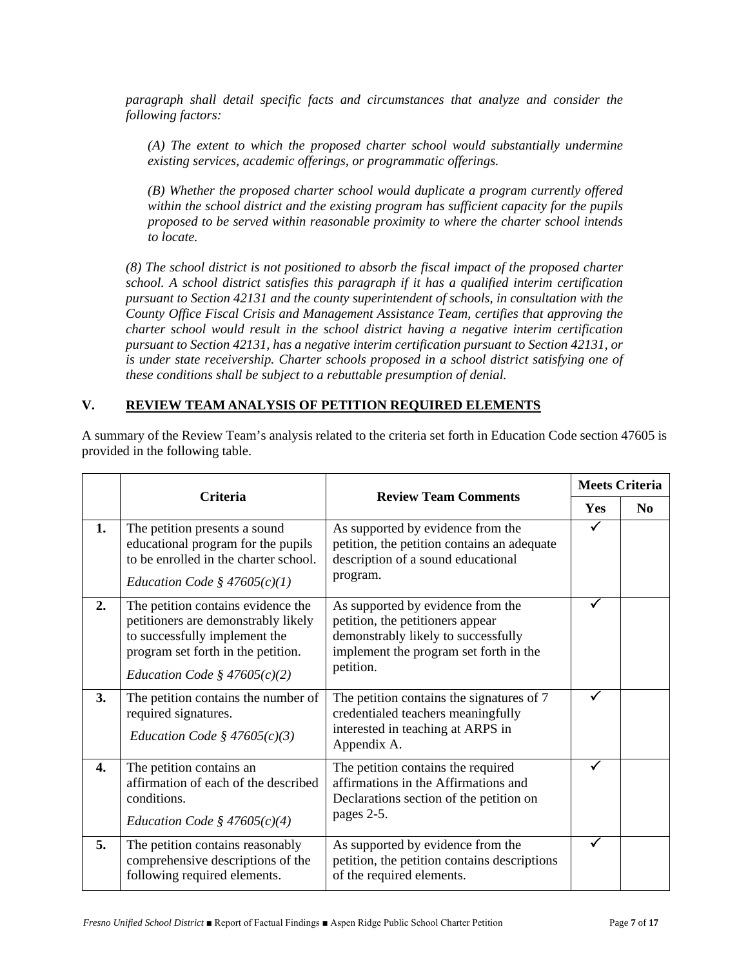*paragraph shall detail specific facts and circumstances that analyze and consider the following factors:*

*(A) The extent to which the proposed charter school would substantially undermine existing services, academic offerings, or programmatic offerings.*

*(B) Whether the proposed charter school would duplicate a program currently offered within the school district and the existing program has sufficient capacity for the pupils proposed to be served within reasonable proximity to where the charter school intends to locate.*

*(8) The school district is not positioned to absorb the fiscal impact of the proposed charter school. A school district satisfies this paragraph if it has a qualified interim certification pursuant to Section 42131 and the county superintendent of schools, in consultation with the County Office Fiscal Crisis and Management Assistance Team, certifies that approving the charter school would result in the school district having a negative interim certification pursuant to Section 42131, has a negative interim certification pursuant to Section 42131, or is under state receivership. Charter schools proposed in a school district satisfying one of these conditions shall be subject to a rebuttable presumption of denial.*

#### **V. REVIEW TEAM ANALYSIS OF PETITION REQUIRED ELEMENTS**

A summary of the Review Team's analysis related to the criteria set forth in Education Code section 47605 is provided in the following table.

|    | <b>Criteria</b>                                                                                                                                                                    | <b>Review Team Comments</b>                                                                                                                                         |     | <b>Meets Criteria</b> |
|----|------------------------------------------------------------------------------------------------------------------------------------------------------------------------------------|---------------------------------------------------------------------------------------------------------------------------------------------------------------------|-----|-----------------------|
|    |                                                                                                                                                                                    |                                                                                                                                                                     | Yes | N <sub>0</sub>        |
| 1. | The petition presents a sound<br>educational program for the pupils<br>to be enrolled in the charter school.<br>Education Code § $47605(c)(1)$                                     | As supported by evidence from the<br>petition, the petition contains an adequate<br>description of a sound educational<br>program.                                  | ✓   |                       |
| 2. | The petition contains evidence the<br>petitioners are demonstrably likely<br>to successfully implement the<br>program set forth in the petition.<br>Education Code § $47605(c)(2)$ | As supported by evidence from the<br>petition, the petitioners appear<br>demonstrably likely to successfully<br>implement the program set forth in the<br>petition. |     |                       |
| 3. | The petition contains the number of<br>required signatures.<br>Education Code § $47605(c)(3)$                                                                                      | The petition contains the signatures of 7<br>credentialed teachers meaningfully<br>interested in teaching at ARPS in<br>Appendix A.                                 |     |                       |
| 4. | The petition contains an<br>affirmation of each of the described<br>conditions.<br>Education Code § $47605(c)(4)$                                                                  | The petition contains the required<br>affirmations in the Affirmations and<br>Declarations section of the petition on<br>pages 2-5.                                 |     |                       |
| 5. | The petition contains reasonably<br>comprehensive descriptions of the<br>following required elements.                                                                              | As supported by evidence from the<br>petition, the petition contains descriptions<br>of the required elements.                                                      | ✓   |                       |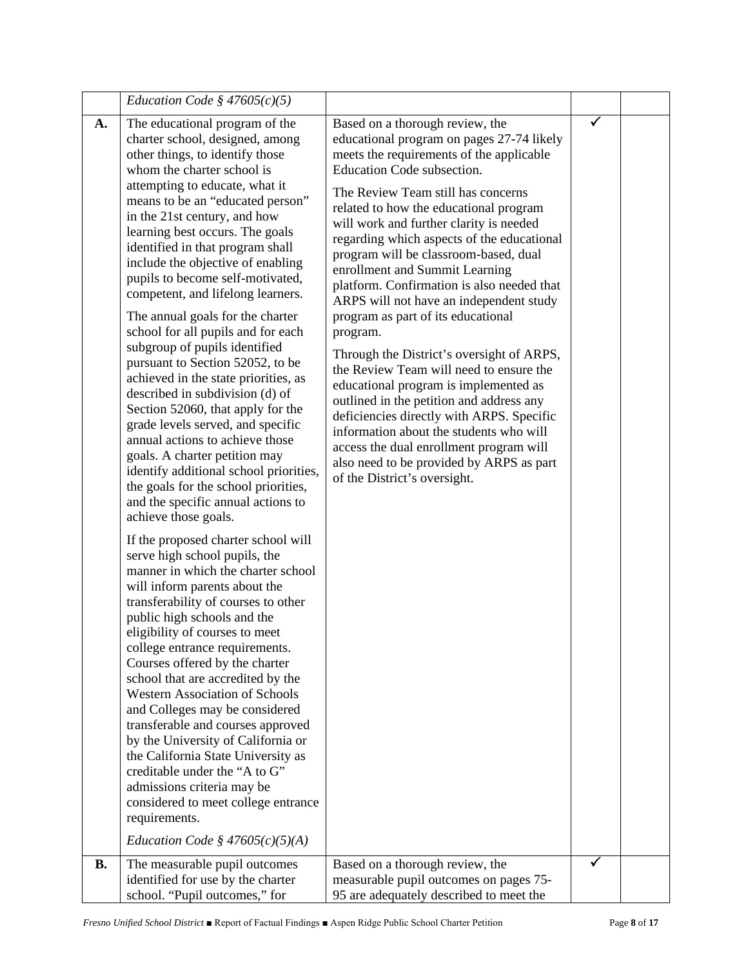|                 | Education Code § $47605(c)(5)$                                                                                                                                                                                                                                                                                                                                                                                                                                                                                                                                                                                                                                                                                                                                                                                                                                                                                                                                                                                                                                                                                                                                                                                                                                                                                                                                                                                                                                                                                                                                                                                                                                                                                 |                                                                                                                                                                                                                                                                                                                                                                                                                                                                                                                                                                                                                                                                                                                                                                                                                                                                                                                                                                                      |  |
|-----------------|----------------------------------------------------------------------------------------------------------------------------------------------------------------------------------------------------------------------------------------------------------------------------------------------------------------------------------------------------------------------------------------------------------------------------------------------------------------------------------------------------------------------------------------------------------------------------------------------------------------------------------------------------------------------------------------------------------------------------------------------------------------------------------------------------------------------------------------------------------------------------------------------------------------------------------------------------------------------------------------------------------------------------------------------------------------------------------------------------------------------------------------------------------------------------------------------------------------------------------------------------------------------------------------------------------------------------------------------------------------------------------------------------------------------------------------------------------------------------------------------------------------------------------------------------------------------------------------------------------------------------------------------------------------------------------------------------------------|--------------------------------------------------------------------------------------------------------------------------------------------------------------------------------------------------------------------------------------------------------------------------------------------------------------------------------------------------------------------------------------------------------------------------------------------------------------------------------------------------------------------------------------------------------------------------------------------------------------------------------------------------------------------------------------------------------------------------------------------------------------------------------------------------------------------------------------------------------------------------------------------------------------------------------------------------------------------------------------|--|
| A.<br><b>B.</b> | The educational program of the<br>charter school, designed, among<br>other things, to identify those<br>whom the charter school is<br>attempting to educate, what it<br>means to be an "educated person"<br>in the 21st century, and how<br>learning best occurs. The goals<br>identified in that program shall<br>include the objective of enabling<br>pupils to become self-motivated,<br>competent, and lifelong learners.<br>The annual goals for the charter<br>school for all pupils and for each<br>subgroup of pupils identified<br>pursuant to Section 52052, to be<br>achieved in the state priorities, as<br>described in subdivision (d) of<br>Section 52060, that apply for the<br>grade levels served, and specific<br>annual actions to achieve those<br>goals. A charter petition may<br>identify additional school priorities,<br>the goals for the school priorities,<br>and the specific annual actions to<br>achieve those goals.<br>If the proposed charter school will<br>serve high school pupils, the<br>manner in which the charter school<br>will inform parents about the<br>transferability of courses to other<br>public high schools and the<br>eligibility of courses to meet<br>college entrance requirements.<br>Courses offered by the charter<br>school that are accredited by the<br><b>Western Association of Schools</b><br>and Colleges may be considered<br>transferable and courses approved<br>by the University of California or<br>the California State University as<br>creditable under the "A to G"<br>admissions criteria may be<br>considered to meet college entrance<br>requirements.<br>Education Code § $47605(c)(5)(A)$<br>The measurable pupil outcomes | Based on a thorough review, the<br>educational program on pages 27-74 likely<br>meets the requirements of the applicable<br>Education Code subsection.<br>The Review Team still has concerns<br>related to how the educational program<br>will work and further clarity is needed<br>regarding which aspects of the educational<br>program will be classroom-based, dual<br>enrollment and Summit Learning<br>platform. Confirmation is also needed that<br>ARPS will not have an independent study<br>program as part of its educational<br>program.<br>Through the District's oversight of ARPS,<br>the Review Team will need to ensure the<br>educational program is implemented as<br>outlined in the petition and address any<br>deficiencies directly with ARPS. Specific<br>information about the students who will<br>access the dual enrollment program will<br>also need to be provided by ARPS as part<br>of the District's oversight.<br>Based on a thorough review, the |  |
|                 | identified for use by the charter<br>school. "Pupil outcomes," for                                                                                                                                                                                                                                                                                                                                                                                                                                                                                                                                                                                                                                                                                                                                                                                                                                                                                                                                                                                                                                                                                                                                                                                                                                                                                                                                                                                                                                                                                                                                                                                                                                             | measurable pupil outcomes on pages 75-<br>95 are adequately described to meet the                                                                                                                                                                                                                                                                                                                                                                                                                                                                                                                                                                                                                                                                                                                                                                                                                                                                                                    |  |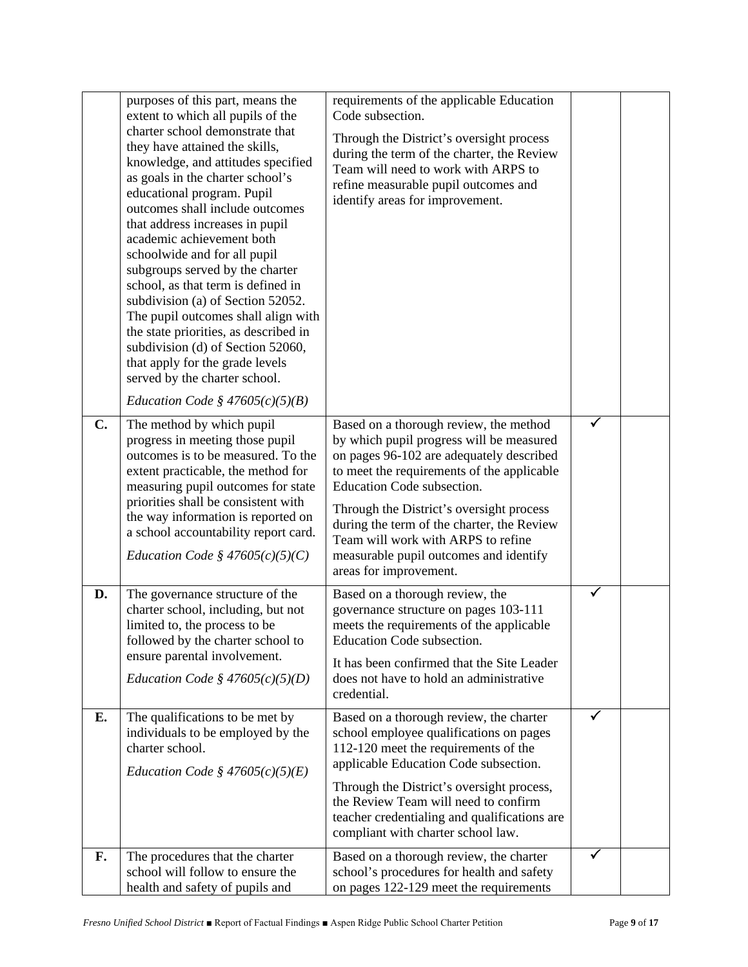|                | purposes of this part, means the<br>extent to which all pupils of the<br>charter school demonstrate that<br>they have attained the skills,<br>knowledge, and attitudes specified<br>as goals in the charter school's<br>educational program. Pupil<br>outcomes shall include outcomes<br>that address increases in pupil<br>academic achievement both<br>schoolwide and for all pupil<br>subgroups served by the charter<br>school, as that term is defined in<br>subdivision (a) of Section 52052.<br>The pupil outcomes shall align with<br>the state priorities, as described in<br>subdivision (d) of Section 52060,<br>that apply for the grade levels<br>served by the charter school.<br>Education Code § $47605(c)(5)(B)$ | requirements of the applicable Education<br>Code subsection.<br>Through the District's oversight process<br>during the term of the charter, the Review<br>Team will need to work with ARPS to<br>refine measurable pupil outcomes and<br>identify areas for improvement.                                                                                                                                       |   |  |
|----------------|-----------------------------------------------------------------------------------------------------------------------------------------------------------------------------------------------------------------------------------------------------------------------------------------------------------------------------------------------------------------------------------------------------------------------------------------------------------------------------------------------------------------------------------------------------------------------------------------------------------------------------------------------------------------------------------------------------------------------------------|----------------------------------------------------------------------------------------------------------------------------------------------------------------------------------------------------------------------------------------------------------------------------------------------------------------------------------------------------------------------------------------------------------------|---|--|
| $\mathbf{C}$ . | The method by which pupil<br>progress in meeting those pupil<br>outcomes is to be measured. To the<br>extent practicable, the method for<br>measuring pupil outcomes for state<br>priorities shall be consistent with<br>the way information is reported on<br>a school accountability report card.<br><i>Education Code</i> § $47605(c)(5)(C)$                                                                                                                                                                                                                                                                                                                                                                                   | Based on a thorough review, the method<br>by which pupil progress will be measured<br>on pages 96-102 are adequately described<br>to meet the requirements of the applicable<br>Education Code subsection.<br>Through the District's oversight process<br>during the term of the charter, the Review<br>Team will work with ARPS to refine<br>measurable pupil outcomes and identify<br>areas for improvement. |   |  |
| D.             | The governance structure of the<br>charter school, including, but not<br>limited to, the process to be<br>followed by the charter school to<br>ensure parental involvement.<br><i>Education Code § 47605(c)(5)(D)</i>                                                                                                                                                                                                                                                                                                                                                                                                                                                                                                             | Based on a thorough review, the<br>governance structure on pages 103-111<br>meets the requirements of the applicable<br>Education Code subsection.<br>It has been confirmed that the Site Leader<br>does not have to hold an administrative<br>credential.                                                                                                                                                     | ✓ |  |
| Е.             | The qualifications to be met by<br>individuals to be employed by the<br>charter school.<br><i>Education Code</i> § $47605(c)(5)(E)$                                                                                                                                                                                                                                                                                                                                                                                                                                                                                                                                                                                               | Based on a thorough review, the charter<br>school employee qualifications on pages<br>112-120 meet the requirements of the<br>applicable Education Code subsection.<br>Through the District's oversight process,<br>the Review Team will need to confirm<br>teacher credentialing and qualifications are<br>compliant with charter school law.                                                                 | ✓ |  |
| F.             | The procedures that the charter<br>school will follow to ensure the<br>health and safety of pupils and                                                                                                                                                                                                                                                                                                                                                                                                                                                                                                                                                                                                                            | Based on a thorough review, the charter<br>school's procedures for health and safety<br>on pages 122-129 meet the requirements                                                                                                                                                                                                                                                                                 |   |  |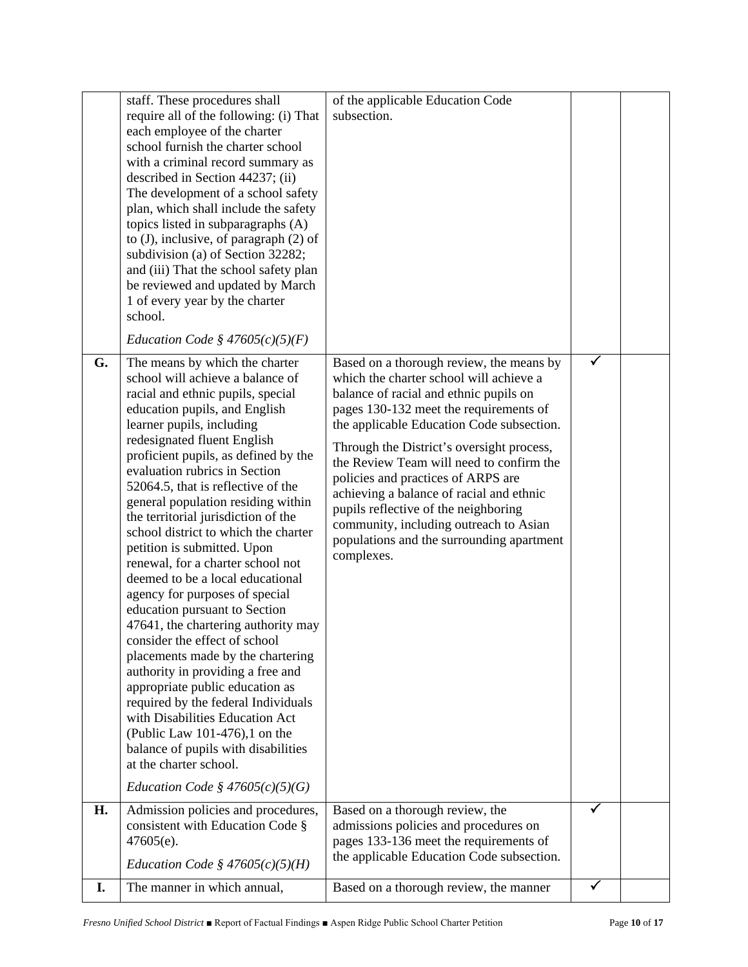| I. | The manner in which annual,                                                                                                                                                                                                                                                                                                                                                                                                                                                                                                                                                                                                                                                                                                                                                                                                                                                                                                                                                                                               | Based on a thorough review, the manner                                                                                                                                                                                                                                                                                                                                                                                                                                                                                                       | ✓ |  |
|----|---------------------------------------------------------------------------------------------------------------------------------------------------------------------------------------------------------------------------------------------------------------------------------------------------------------------------------------------------------------------------------------------------------------------------------------------------------------------------------------------------------------------------------------------------------------------------------------------------------------------------------------------------------------------------------------------------------------------------------------------------------------------------------------------------------------------------------------------------------------------------------------------------------------------------------------------------------------------------------------------------------------------------|----------------------------------------------------------------------------------------------------------------------------------------------------------------------------------------------------------------------------------------------------------------------------------------------------------------------------------------------------------------------------------------------------------------------------------------------------------------------------------------------------------------------------------------------|---|--|
| Н. | Admission policies and procedures,<br>consistent with Education Code §<br>$47605(e)$ .<br><i>Education Code</i> § $47605(c)(5)(H)$                                                                                                                                                                                                                                                                                                                                                                                                                                                                                                                                                                                                                                                                                                                                                                                                                                                                                        | Based on a thorough review, the<br>admissions policies and procedures on<br>pages 133-136 meet the requirements of<br>the applicable Education Code subsection.                                                                                                                                                                                                                                                                                                                                                                              | ✓ |  |
| G. | The means by which the charter<br>school will achieve a balance of<br>racial and ethnic pupils, special<br>education pupils, and English<br>learner pupils, including<br>redesignated fluent English<br>proficient pupils, as defined by the<br>evaluation rubrics in Section<br>52064.5, that is reflective of the<br>general population residing within<br>the territorial jurisdiction of the<br>school district to which the charter<br>petition is submitted. Upon<br>renewal, for a charter school not<br>deemed to be a local educational<br>agency for purposes of special<br>education pursuant to Section<br>47641, the chartering authority may<br>consider the effect of school<br>placements made by the chartering<br>authority in providing a free and<br>appropriate public education as<br>required by the federal Individuals<br>with Disabilities Education Act<br>(Public Law 101-476),1 on the<br>balance of pupils with disabilities<br>at the charter school.<br>Education Code § $47605(c)(5)(G)$ | Based on a thorough review, the means by<br>which the charter school will achieve a<br>balance of racial and ethnic pupils on<br>pages 130-132 meet the requirements of<br>the applicable Education Code subsection.<br>Through the District's oversight process,<br>the Review Team will need to confirm the<br>policies and practices of ARPS are<br>achieving a balance of racial and ethnic<br>pupils reflective of the neighboring<br>community, including outreach to Asian<br>populations and the surrounding apartment<br>complexes. |   |  |
|    | each employee of the charter<br>school furnish the charter school<br>with a criminal record summary as<br>described in Section 44237; (ii)<br>The development of a school safety<br>plan, which shall include the safety<br>topics listed in subparagraphs (A)<br>to $(J)$ , inclusive, of paragraph $(2)$ of<br>subdivision (a) of Section 32282;<br>and (iii) That the school safety plan<br>be reviewed and updated by March<br>1 of every year by the charter<br>school.<br>Education Code § $47605(c)(5)(F)$                                                                                                                                                                                                                                                                                                                                                                                                                                                                                                         |                                                                                                                                                                                                                                                                                                                                                                                                                                                                                                                                              |   |  |
|    | staff. These procedures shall<br>require all of the following: (i) That                                                                                                                                                                                                                                                                                                                                                                                                                                                                                                                                                                                                                                                                                                                                                                                                                                                                                                                                                   | of the applicable Education Code<br>subsection.                                                                                                                                                                                                                                                                                                                                                                                                                                                                                              |   |  |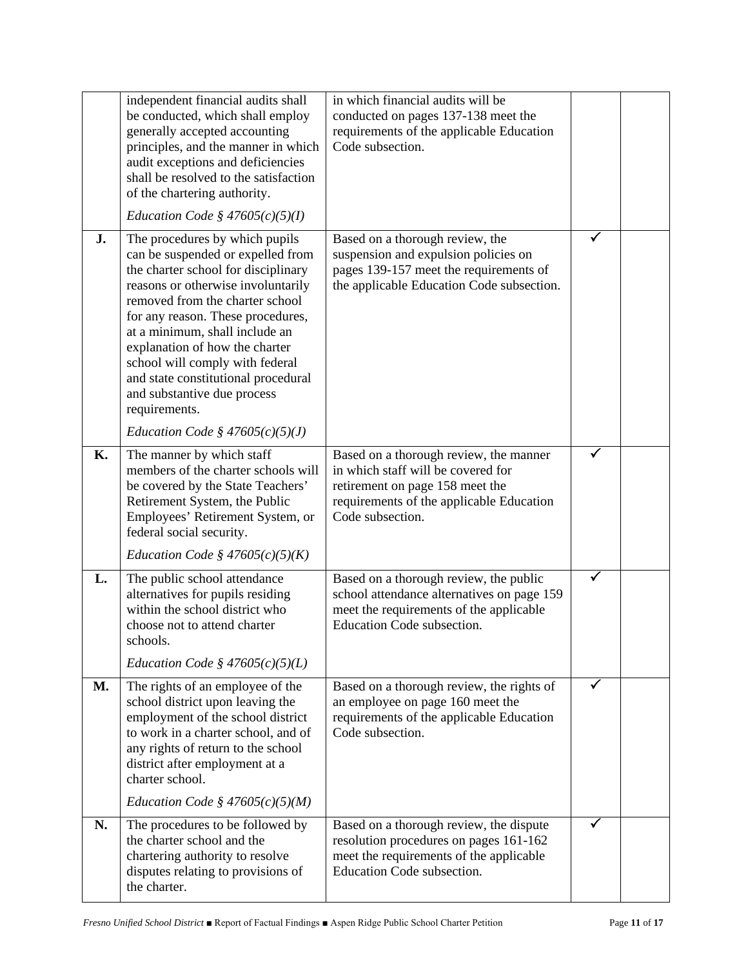|           | independent financial audits shall<br>be conducted, which shall employ<br>generally accepted accounting<br>principles, and the manner in which<br>audit exceptions and deficiencies<br>shall be resolved to the satisfaction<br>of the chartering authority.                                                                                                                                                           | in which financial audits will be<br>conducted on pages 137-138 meet the<br>requirements of the applicable Education<br>Code subsection.                                        |   |  |
|-----------|------------------------------------------------------------------------------------------------------------------------------------------------------------------------------------------------------------------------------------------------------------------------------------------------------------------------------------------------------------------------------------------------------------------------|---------------------------------------------------------------------------------------------------------------------------------------------------------------------------------|---|--|
|           | Education Code § $47605(c)(5)(I)$                                                                                                                                                                                                                                                                                                                                                                                      |                                                                                                                                                                                 |   |  |
| J.        | The procedures by which pupils<br>can be suspended or expelled from<br>the charter school for disciplinary<br>reasons or otherwise involuntarily<br>removed from the charter school<br>for any reason. These procedures,<br>at a minimum, shall include an<br>explanation of how the charter<br>school will comply with federal<br>and state constitutional procedural<br>and substantive due process<br>requirements. | Based on a thorough review, the<br>suspension and expulsion policies on<br>pages 139-157 meet the requirements of<br>the applicable Education Code subsection.                  | ✓ |  |
|           | Education Code § $47605(c)(5)(J)$                                                                                                                                                                                                                                                                                                                                                                                      |                                                                                                                                                                                 |   |  |
| <b>K.</b> | The manner by which staff<br>members of the charter schools will<br>be covered by the State Teachers'<br>Retirement System, the Public<br>Employees' Retirement System, or<br>federal social security.                                                                                                                                                                                                                 | Based on a thorough review, the manner<br>in which staff will be covered for<br>retirement on page 158 meet the<br>requirements of the applicable Education<br>Code subsection. |   |  |
|           | Education Code § $47605(c)(5)(K)$                                                                                                                                                                                                                                                                                                                                                                                      |                                                                                                                                                                                 |   |  |
| L.        | The public school attendance<br>alternatives for pupils residing<br>within the school district who<br>choose not to attend charter<br>schools.                                                                                                                                                                                                                                                                         | Based on a thorough review, the public<br>school attendance alternatives on page 159<br>meet the requirements of the applicable<br>Education Code subsection.                   | ✓ |  |
|           | Education Code § $47605(c)(5)(L)$                                                                                                                                                                                                                                                                                                                                                                                      |                                                                                                                                                                                 |   |  |
| <b>M.</b> | The rights of an employee of the<br>school district upon leaving the<br>employment of the school district<br>to work in a charter school, and of<br>any rights of return to the school<br>district after employment at a<br>charter school.<br>Education Code § $47605(c)(5)(M)$                                                                                                                                       | Based on a thorough review, the rights of<br>an employee on page 160 meet the<br>requirements of the applicable Education<br>Code subsection.                                   |   |  |
| N.        | The procedures to be followed by<br>the charter school and the<br>chartering authority to resolve<br>disputes relating to provisions of<br>the charter.                                                                                                                                                                                                                                                                | Based on a thorough review, the dispute<br>resolution procedures on pages 161-162<br>meet the requirements of the applicable<br>Education Code subsection.                      |   |  |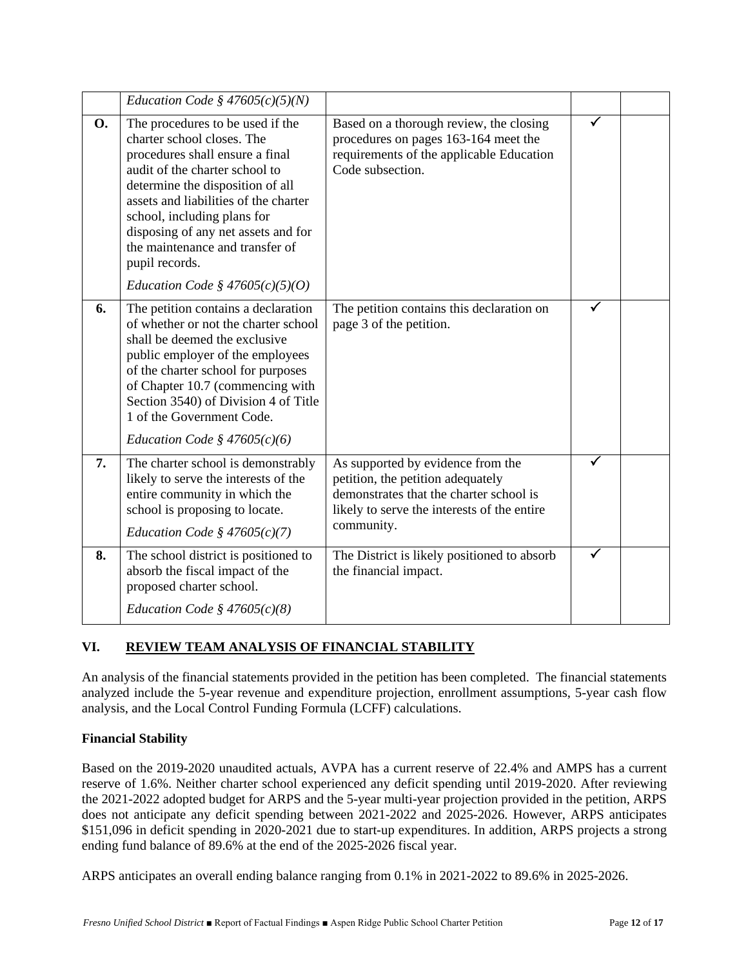|           | Education Code § $47605(c)(5)(N)$                                                                                                                                                                                                                                                                                                                                                |                                                                                                                                                                                |   |  |
|-----------|----------------------------------------------------------------------------------------------------------------------------------------------------------------------------------------------------------------------------------------------------------------------------------------------------------------------------------------------------------------------------------|--------------------------------------------------------------------------------------------------------------------------------------------------------------------------------|---|--|
| <b>O.</b> | The procedures to be used if the<br>charter school closes. The<br>procedures shall ensure a final<br>audit of the charter school to<br>determine the disposition of all<br>assets and liabilities of the charter<br>school, including plans for<br>disposing of any net assets and for<br>the maintenance and transfer of<br>pupil records.<br>Education Code § $47605(c)(5)(O)$ | Based on a thorough review, the closing<br>procedures on pages 163-164 meet the<br>requirements of the applicable Education<br>Code subsection.                                | ✓ |  |
| 6.        | The petition contains a declaration<br>of whether or not the charter school<br>shall be deemed the exclusive<br>public employer of the employees<br>of the charter school for purposes<br>of Chapter 10.7 (commencing with<br>Section 3540) of Division 4 of Title<br>1 of the Government Code.<br>Education Code § $47605(c)(6)$                                                | The petition contains this declaration on<br>page 3 of the petition.                                                                                                           | ✓ |  |
| 7.        | The charter school is demonstrably<br>likely to serve the interests of the<br>entire community in which the<br>school is proposing to locate.<br>Education Code § $47605(c)(7)$                                                                                                                                                                                                  | As supported by evidence from the<br>petition, the petition adequately<br>demonstrates that the charter school is<br>likely to serve the interests of the entire<br>community. | ✓ |  |
| 8.        | The school district is positioned to<br>absorb the fiscal impact of the<br>proposed charter school.<br>Education Code § $47605(c)(8)$                                                                                                                                                                                                                                            | The District is likely positioned to absorb<br>the financial impact.                                                                                                           |   |  |

# **VI. REVIEW TEAM ANALYSIS OF FINANCIAL STABILITY**

An analysis of the financial statements provided in the petition has been completed. The financial statements analyzed include the 5-year revenue and expenditure projection, enrollment assumptions, 5-year cash flow analysis, and the Local Control Funding Formula (LCFF) calculations.

### **Financial Stability**

Based on the 2019-2020 unaudited actuals, AVPA has a current reserve of 22.4% and AMPS has a current reserve of 1.6%. Neither charter school experienced any deficit spending until 2019-2020. After reviewing the 2021-2022 adopted budget for ARPS and the 5-year multi-year projection provided in the petition, ARPS does not anticipate any deficit spending between 2021-2022 and 2025-2026. However, ARPS anticipates \$151,096 in deficit spending in 2020-2021 due to start-up expenditures. In addition, ARPS projects a strong ending fund balance of 89.6% at the end of the 2025-2026 fiscal year.

ARPS anticipates an overall ending balance ranging from 0.1% in 2021-2022 to 89.6% in 2025-2026.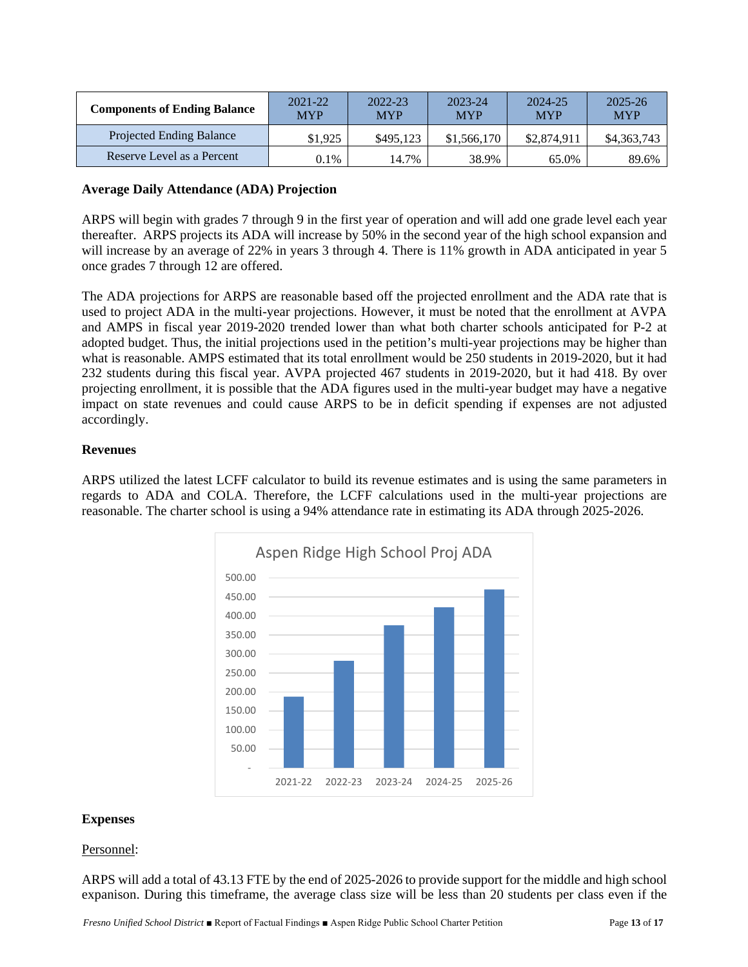| <b>Components of Ending Balance</b> | 2021-22<br><b>MYP</b> | 2022-23<br><b>MYP</b> | 2023-24<br><b>MYP</b> | 2024-25<br><b>MYP</b> | 2025-26<br><b>MYP</b> |
|-------------------------------------|-----------------------|-----------------------|-----------------------|-----------------------|-----------------------|
| Projected Ending Balance            | \$1,925               | \$495.123             | \$1,566,170           | \$2,874,911           | \$4,363,743           |
| Reserve Level as a Percent          | 0.1%                  | 14.7%                 | 38.9%                 | 65.0%                 | 89.6%                 |

#### **Average Daily Attendance (ADA) Projection**

ARPS will begin with grades 7 through 9 in the first year of operation and will add one grade level each year thereafter. ARPS projects its ADA will increase by 50% in the second year of the high school expansion and will increase by an average of 22% in years 3 through 4. There is 11% growth in ADA anticipated in year 5 once grades 7 through 12 are offered.

The ADA projections for ARPS are reasonable based off the projected enrollment and the ADA rate that is used to project ADA in the multi-year projections. However, it must be noted that the enrollment at AVPA and AMPS in fiscal year 2019-2020 trended lower than what both charter schools anticipated for P-2 at adopted budget. Thus, the initial projections used in the petition's multi-year projections may be higher than what is reasonable. AMPS estimated that its total enrollment would be 250 students in 2019-2020, but it had 232 students during this fiscal year. AVPA projected 467 students in 2019-2020, but it had 418. By over projecting enrollment, it is possible that the ADA figures used in the multi-year budget may have a negative impact on state revenues and could cause ARPS to be in deficit spending if expenses are not adjusted accordingly.

### **Revenues**

ARPS utilized the latest LCFF calculator to build its revenue estimates and is using the same parameters in regards to ADA and COLA. Therefore, the LCFF calculations used in the multi-year projections are reasonable. The charter school is using a 94% attendance rate in estimating its ADA through 2025-2026.



#### **Expenses**

### Personnel:

ARPS will add a total of 43.13 FTE by the end of 2025-2026 to provide support for the middle and high school expanison. During this timeframe, the average class size will be less than 20 students per class even if the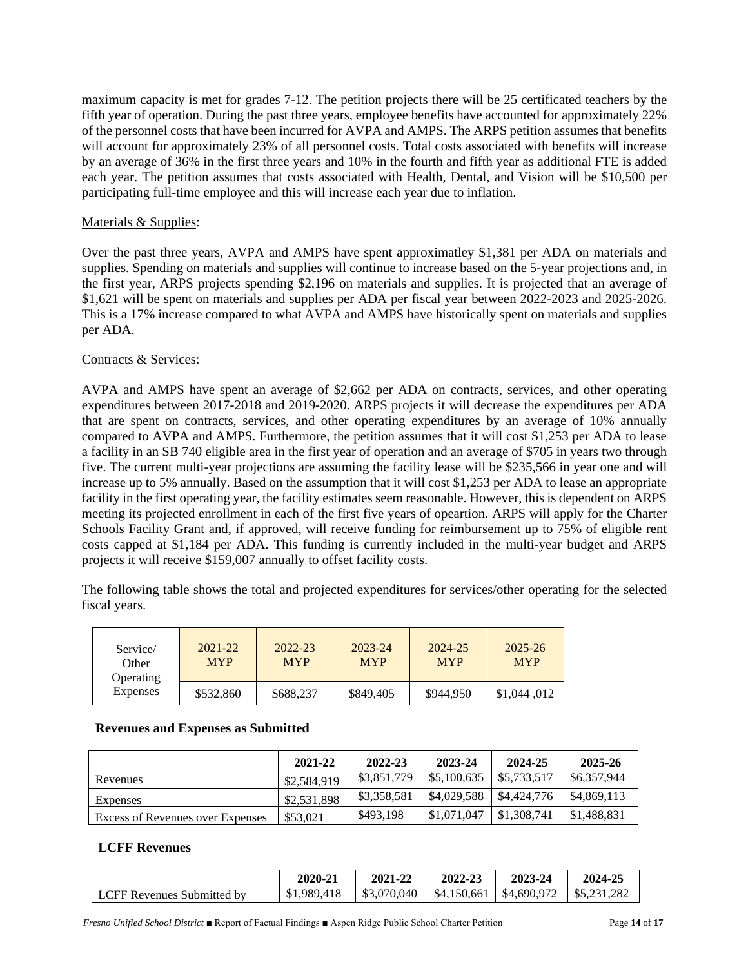maximum capacity is met for grades 7-12. The petition projects there will be 25 certificated teachers by the fifth year of operation. During the past three years, employee benefits have accounted for approximately 22% of the personnel costs that have been incurred for AVPA and AMPS. The ARPS petition assumes that benefits will account for approximately 23% of all personnel costs. Total costs associated with benefits will increase by an average of 36% in the first three years and 10% in the fourth and fifth year as additional FTE is added each year. The petition assumes that costs associated with Health, Dental, and Vision will be \$10,500 per participating full-time employee and this will increase each year due to inflation.

### Materials & Supplies:

Over the past three years, AVPA and AMPS have spent approximatley \$1,381 per ADA on materials and supplies. Spending on materials and supplies will continue to increase based on the 5-year projections and, in the first year, ARPS projects spending \$2,196 on materials and supplies. It is projected that an average of \$1,621 will be spent on materials and supplies per ADA per fiscal year between 2022-2023 and 2025-2026. This is a 17% increase compared to what AVPA and AMPS have historically spent on materials and supplies per ADA.

#### Contracts & Services:

AVPA and AMPS have spent an average of \$2,662 per ADA on contracts, services, and other operating expenditures between 2017-2018 and 2019-2020. ARPS projects it will decrease the expenditures per ADA that are spent on contracts, services, and other operating expenditures by an average of 10% annually compared to AVPA and AMPS. Furthermore, the petition assumes that it will cost \$1,253 per ADA to lease a facility in an SB 740 eligible area in the first year of operation and an average of \$705 in years two through five. The current multi-year projections are assuming the facility lease will be \$235,566 in year one and will increase up to 5% annually. Based on the assumption that it will cost \$1,253 per ADA to lease an appropriate facility in the first operating year, the facility estimates seem reasonable. However, this is dependent on ARPS meeting its projected enrollment in each of the first five years of opeartion. ARPS will apply for the Charter Schools Facility Grant and, if approved, will receive funding for reimbursement up to 75% of eligible rent costs capped at \$1,184 per ADA. This funding is currently included in the multi-year budget and ARPS projects it will receive \$159,007 annually to offset facility costs.

The following table shows the total and projected expenditures for services/other operating for the selected fiscal years.

| Service/<br>Other<br>Operating | $2021 - 22$<br><b>MYP</b> | 2022-23<br><b>MYP</b> | 2023-24<br><b>MYP</b> | 2024-25<br><b>MYP</b> | $2025 - 26$<br><b>MYP</b> |
|--------------------------------|---------------------------|-----------------------|-----------------------|-----------------------|---------------------------|
| <b>Expenses</b>                | \$532,860                 | \$688,237             | \$849,405             | \$944.950             | \$1,044,012               |

#### **Revenues and Expenses as Submitted**

|                                  | 2021-22     | 2022-23     | 2023-24     | 2024-25     | 2025-26                |
|----------------------------------|-------------|-------------|-------------|-------------|------------------------|
| Revenues                         | \$2,584,919 | \$3,851,779 | \$5,100,635 | \$5,733,517 | $\frac{$6,357,944}{ }$ |
| Expenses                         | \$2,531,898 | \$3,358,581 | \$4,029,588 | \$4,424,776 | \$4,869,113            |
| Excess of Revenues over Expenses | \$53,021    | \$493,198   | \$1,071,047 | \$1,308,741 | \$1.488.831            |

#### **LCFF Revenues**

|                            | 2020-21     | 2021-22     | 2022-23     | 2023-24     | 2024-25     |
|----------------------------|-------------|-------------|-------------|-------------|-------------|
| LCFF Revenues Submitted by | \$1,989,418 | \$3,070,040 | \$4,150,661 | \$4,690,972 | \$5,231,282 |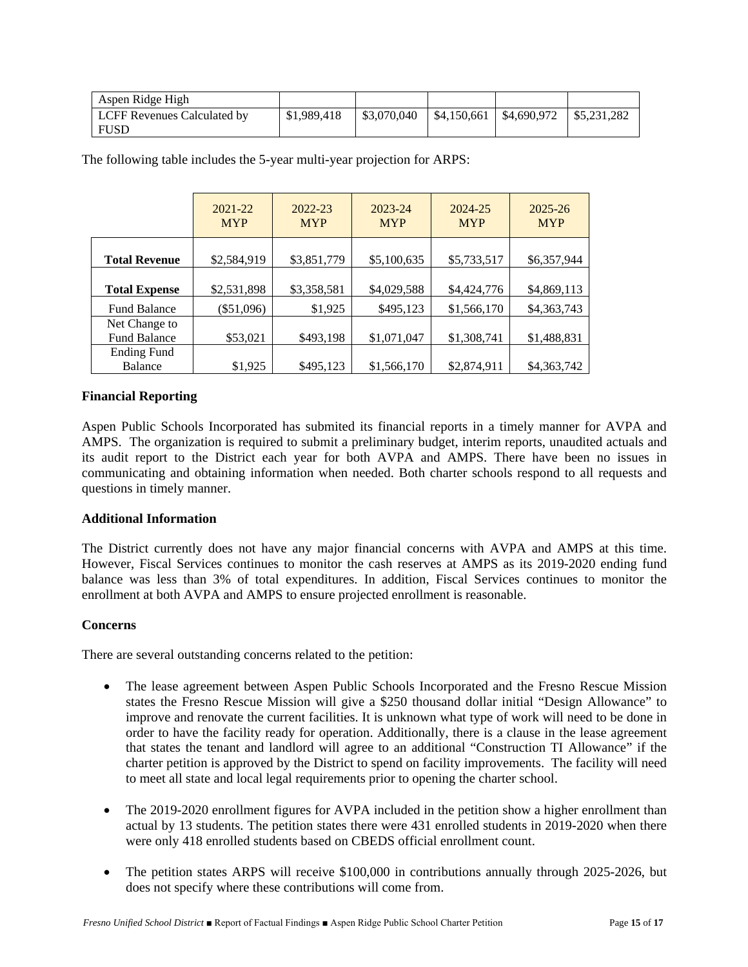| Aspen Ridge High                           |             |             |                           |                       |
|--------------------------------------------|-------------|-------------|---------------------------|-----------------------|
| LCFF Revenues Calculated by<br><b>FUSD</b> | \$1,989,418 | \$3.070.040 | $$4,150,661$ $$4,690,972$ | $\frac{1}{5.231.282}$ |

|                                      | 2021-22<br><b>MYP</b> | 2022-23<br><b>MYP</b> | 2023-24<br><b>MYP</b> | 2024-25<br><b>MYP</b> | 2025-26<br><b>MYP</b> |
|--------------------------------------|-----------------------|-----------------------|-----------------------|-----------------------|-----------------------|
| <b>Total Revenue</b>                 | \$2,584,919           | \$3,851,779           | \$5,100,635           | \$5,733,517           | \$6,357,944           |
| <b>Total Expense</b>                 | \$2,531,898           | \$3,358,581           | \$4,029,588           | \$4,424,776           | \$4,869,113           |
| <b>Fund Balance</b>                  | $(\$51,096)$          | \$1,925               | \$495,123             | \$1,566,170           | \$4,363,743           |
| Net Change to<br><b>Fund Balance</b> | \$53,021              | \$493,198             | \$1,071,047           | \$1,308,741           | \$1,488,831           |
| <b>Ending Fund</b><br><b>Balance</b> | \$1,925               | \$495,123             | \$1,566,170           | \$2,874,911           | \$4,363,742           |

The following table includes the 5-year multi-year projection for ARPS:

### **Financial Reporting**

Aspen Public Schools Incorporated has submited its financial reports in a timely manner for AVPA and AMPS. The organization is required to submit a preliminary budget, interim reports, unaudited actuals and its audit report to the District each year for both AVPA and AMPS. There have been no issues in communicating and obtaining information when needed. Both charter schools respond to all requests and questions in timely manner.

### **Additional Information**

The District currently does not have any major financial concerns with AVPA and AMPS at this time. However, Fiscal Services continues to monitor the cash reserves at AMPS as its 2019-2020 ending fund balance was less than 3% of total expenditures. In addition, Fiscal Services continues to monitor the enrollment at both AVPA and AMPS to ensure projected enrollment is reasonable.

### **Concerns**

There are several outstanding concerns related to the petition:

- The lease agreement between Aspen Public Schools Incorporated and the Fresno Rescue Mission states the Fresno Rescue Mission will give a \$250 thousand dollar initial "Design Allowance" to improve and renovate the current facilities. It is unknown what type of work will need to be done in order to have the facility ready for operation. Additionally, there is a clause in the lease agreement that states the tenant and landlord will agree to an additional "Construction TI Allowance" if the charter petition is approved by the District to spend on facility improvements. The facility will need to meet all state and local legal requirements prior to opening the charter school.
- The 2019-2020 enrollment figures for AVPA included in the petition show a higher enrollment than actual by 13 students. The petition states there were 431 enrolled students in 2019-2020 when there were only 418 enrolled students based on CBEDS official enrollment count.
- The petition states ARPS will receive \$100,000 in contributions annually through 2025-2026, but does not specify where these contributions will come from.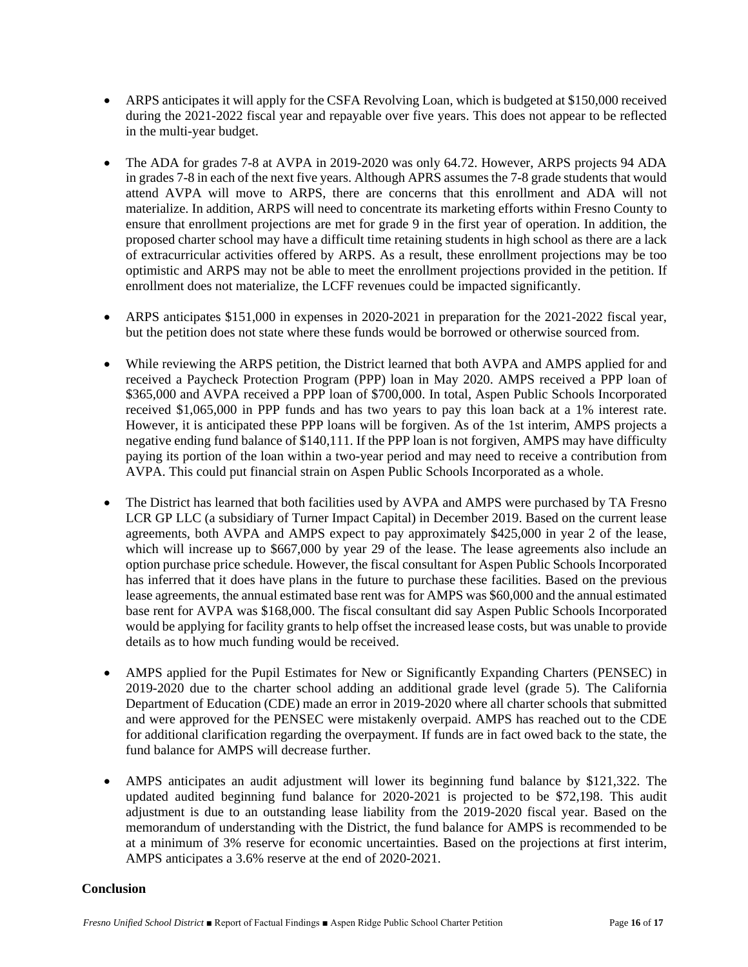- ARPS anticipates it will apply for the CSFA Revolving Loan, which is budgeted at \$150,000 received during the 2021-2022 fiscal year and repayable over five years. This does not appear to be reflected in the multi-year budget.
- The ADA for grades 7-8 at AVPA in 2019-2020 was only 64.72. However, ARPS projects 94 ADA in grades 7-8 in each of the next five years. Although APRS assumes the 7-8 grade students that would attend AVPA will move to ARPS, there are concerns that this enrollment and ADA will not materialize. In addition, ARPS will need to concentrate its marketing efforts within Fresno County to ensure that enrollment projections are met for grade 9 in the first year of operation. In addition, the proposed charter school may have a difficult time retaining students in high school as there are a lack of extracurricular activities offered by ARPS. As a result, these enrollment projections may be too optimistic and ARPS may not be able to meet the enrollment projections provided in the petition. If enrollment does not materialize, the LCFF revenues could be impacted significantly.
- ARPS anticipates \$151,000 in expenses in 2020-2021 in preparation for the 2021-2022 fiscal year, but the petition does not state where these funds would be borrowed or otherwise sourced from.
- While reviewing the ARPS petition, the District learned that both AVPA and AMPS applied for and received a Paycheck Protection Program (PPP) loan in May 2020. AMPS received a PPP loan of \$365,000 and AVPA received a PPP loan of \$700,000. In total, Aspen Public Schools Incorporated received \$1,065,000 in PPP funds and has two years to pay this loan back at a 1% interest rate. However, it is anticipated these PPP loans will be forgiven. As of the 1st interim, AMPS projects a negative ending fund balance of \$140,111. If the PPP loan is not forgiven, AMPS may have difficulty paying its portion of the loan within a two-year period and may need to receive a contribution from AVPA. This could put financial strain on Aspen Public Schools Incorporated as a whole.
- The District has learned that both facilities used by AVPA and AMPS were purchased by TA Fresno LCR GP LLC (a subsidiary of Turner Impact Capital) in December 2019. Based on the current lease agreements, both AVPA and AMPS expect to pay approximately \$425,000 in year 2 of the lease, which will increase up to \$667,000 by year 29 of the lease. The lease agreements also include an option purchase price schedule. However, the fiscal consultant for Aspen Public Schools Incorporated has inferred that it does have plans in the future to purchase these facilities. Based on the previous lease agreements, the annual estimated base rent was for AMPS was \$60,000 and the annual estimated base rent for AVPA was \$168,000. The fiscal consultant did say Aspen Public Schools Incorporated would be applying for facility grants to help offset the increased lease costs, but was unable to provide details as to how much funding would be received.
- AMPS applied for the Pupil Estimates for New or Significantly Expanding Charters (PENSEC) in 2019-2020 due to the charter school adding an additional grade level (grade 5). The California Department of Education (CDE) made an error in 2019-2020 where all charter schools that submitted and were approved for the PENSEC were mistakenly overpaid. AMPS has reached out to the CDE for additional clarification regarding the overpayment. If funds are in fact owed back to the state, the fund balance for AMPS will decrease further.
- AMPS anticipates an audit adjustment will lower its beginning fund balance by \$121,322. The updated audited beginning fund balance for 2020-2021 is projected to be \$72,198. This audit adjustment is due to an outstanding lease liability from the 2019-2020 fiscal year. Based on the memorandum of understanding with the District, the fund balance for AMPS is recommended to be at a minimum of 3% reserve for economic uncertainties. Based on the projections at first interim, AMPS anticipates a 3.6% reserve at the end of 2020-2021.

#### **Conclusion**